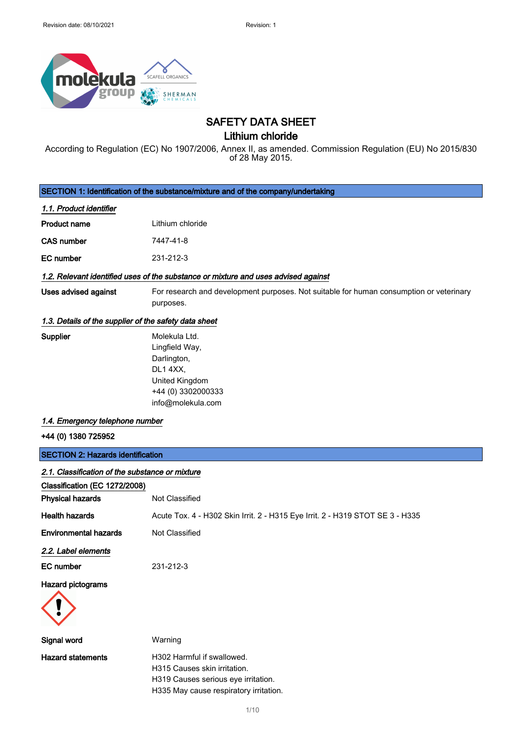

# SAFETY DATA SHEET

Lithium chloride

According to Regulation (EC) No 1907/2006, Annex II, as amended. Commission Regulation (EU) No 2015/830 of 28 May 2015.

SECTION 1: Identification of the substance/mixture and of the company/undertaking

#### 1.1. Product identifier

| Product name | Lithium chloride |
|--------------|------------------|
|              |                  |

CAS number 7447-41-8

EC number 231-212-3

#### 1.2. Relevant identified uses of the substance or mixture and uses advised against

- 
- Uses advised against For research and development purposes. Not suitable for human consumption or veterinary purposes.

#### 1.3. Details of the supplier of the safety data sheet

| Supplier | Molekula Ltd.      |
|----------|--------------------|
|          | Lingfield Way,     |
|          | Darlington,        |
|          | DL1 4XX,           |
|          | United Kingdom     |
|          | +44 (0) 3302000333 |
|          | info@molekula.com  |

#### 1.4. Emergency telephone number

+44 (0) 1380 725952

| <b>SECTION 2: Hazards identification</b><br>2.1. Classification of the substance or mixture |                                                                                                   |
|---------------------------------------------------------------------------------------------|---------------------------------------------------------------------------------------------------|
|                                                                                             |                                                                                                   |
| <b>Physical hazards</b>                                                                     | Not Classified                                                                                    |
| <b>Health hazards</b>                                                                       | Acute Tox. 4 - H302 Skin Irrit. 2 - H315 Eye Irrit. 2 - H319 STOT SE 3 - H335                     |
| <b>Environmental hazards</b>                                                                | Not Classified                                                                                    |
| 2.2. Label elements                                                                         |                                                                                                   |
| EC number                                                                                   | 231-212-3                                                                                         |
| Hazard pictograms                                                                           |                                                                                                   |
| Signal word                                                                                 | Warning                                                                                           |
| <b>Hazard statements</b>                                                                    | H302 Harmful if swallowed.<br>H315 Causes skin irritation.<br>H319 Causes serious eye irritation. |

1/ 10

H335 May cause respiratory irritation.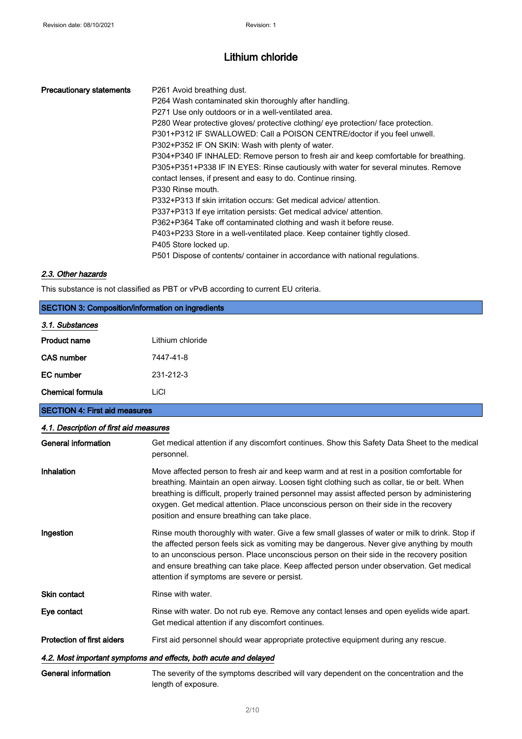|                                                                                                       | <b>Precautionary statements</b> | P <sub>261</sub> Avoid breathing dust.<br>P264 Wash contaminated skin thoroughly after handling.<br>P271 Use only outdoors or in a well-ventilated area.<br>P280 Wear protective gloves/ protective clothing/ eye protection/ face protection.<br>P301+P312 IF SWALLOWED: Call a POISON CENTRE/doctor if you feel unwell.<br>P302+P352 IF ON SKIN: Wash with plenty of water.<br>P304+P340 IF INHALED: Remove person to fresh air and keep comfortable for breathing.<br>P305+P351+P338 IF IN EYES: Rinse cautiously with water for several minutes. Remove<br>contact lenses, if present and easy to do. Continue rinsing.<br>P330 Rinse mouth.<br>P332+P313 If skin irritation occurs: Get medical advice/ attention.<br>P337+P313 If eye irritation persists: Get medical advice/attention.<br>P362+P364 Take off contaminated clothing and wash it before reuse.<br>P403+P233 Store in a well-ventilated place. Keep container tightly closed. |  |
|-------------------------------------------------------------------------------------------------------|---------------------------------|----------------------------------------------------------------------------------------------------------------------------------------------------------------------------------------------------------------------------------------------------------------------------------------------------------------------------------------------------------------------------------------------------------------------------------------------------------------------------------------------------------------------------------------------------------------------------------------------------------------------------------------------------------------------------------------------------------------------------------------------------------------------------------------------------------------------------------------------------------------------------------------------------------------------------------------------------|--|
| P405 Store locked up.<br>P501 Dispose of contents/ container in accordance with national regulations. |                                 |                                                                                                                                                                                                                                                                                                                                                                                                                                                                                                                                                                                                                                                                                                                                                                                                                                                                                                                                                    |  |

### 2.3. Other hazards

This substance is not classified as PBT or vPvB according to current EU criteria.

| <b>SECTION 3: Composition/information on ingredients</b> |                  |  |
|----------------------------------------------------------|------------------|--|
| 3.1. Substances                                          |                  |  |
| <b>Product name</b>                                      | Lithium chloride |  |
| <b>CAS number</b>                                        | 7447-41-8        |  |
| EC number                                                | 231-212-3        |  |
| Chemical formula                                         | LiCI             |  |
| <b>SECTION 4: First aid measures</b>                     |                  |  |

# 4.1. Description of first aid measures General information Get medical attention if any discomfort continues. Show this Safety Data Sheet to the medical personnel. Inhalation Move affected person to fresh air and keep warm and at rest in a position comfortable for breathing. Maintain an open airway. Loosen tight clothing such as collar, tie or belt. When breathing is difficult, properly trained personnel may assist affected person by administering oxygen. Get medical attention. Place unconscious person on their side in the recovery position and ensure breathing can take place. Ingestion **Rinse mouth thoroughly with water. Give a few small glasses of water or milk to drink. Stop if** the affected person feels sick as vomiting may be dangerous. Never give anything by mouth to an unconscious person. Place unconscious person on their side in the recovery position and ensure breathing can take place. Keep affected person under observation. Get medical attention if symptoms are severe or persist. Skin contact Rinse with water. Eye contact Rinse with water. Do not rub eye. Remove any contact lenses and open eyelids wide apart. Get medical attention if any discomfort continues. Protection of first aiders First aid personnel should wear appropriate protective equipment during any rescue. 4.2. Most important symptoms and effects, both acute and delayed General information The severity of the symptoms described will vary dependent on the concentration and the length of exposure.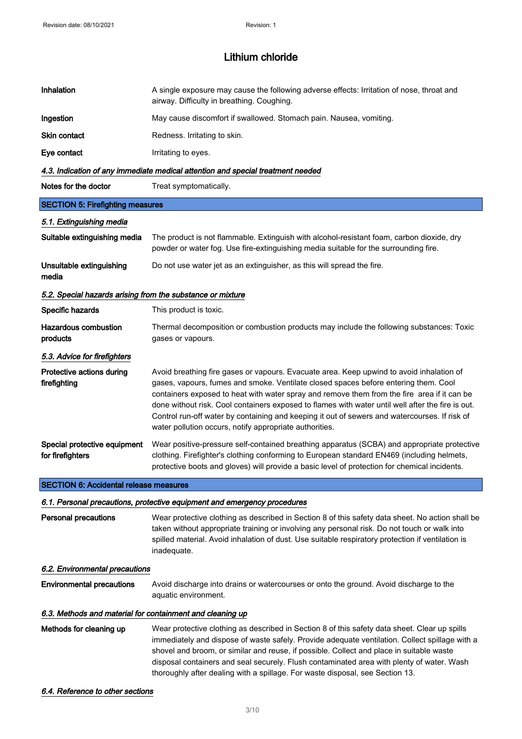| Inhalation                                                               | A single exposure may cause the following adverse effects: Irritation of nose, throat and<br>airway. Difficulty in breathing. Coughing.                                                                                                                                                                                                                                                                                                                                                                                                         |  |  |
|--------------------------------------------------------------------------|-------------------------------------------------------------------------------------------------------------------------------------------------------------------------------------------------------------------------------------------------------------------------------------------------------------------------------------------------------------------------------------------------------------------------------------------------------------------------------------------------------------------------------------------------|--|--|
| Ingestion                                                                | May cause discomfort if swallowed. Stomach pain. Nausea, vomiting.                                                                                                                                                                                                                                                                                                                                                                                                                                                                              |  |  |
| Skin contact                                                             | Redness. Irritating to skin.                                                                                                                                                                                                                                                                                                                                                                                                                                                                                                                    |  |  |
| Eye contact                                                              | Irritating to eyes.                                                                                                                                                                                                                                                                                                                                                                                                                                                                                                                             |  |  |
|                                                                          | 4.3. Indication of any immediate medical attention and special treatment needed                                                                                                                                                                                                                                                                                                                                                                                                                                                                 |  |  |
| Notes for the doctor                                                     | Treat symptomatically.                                                                                                                                                                                                                                                                                                                                                                                                                                                                                                                          |  |  |
| <b>SECTION 5: Firefighting measures</b>                                  |                                                                                                                                                                                                                                                                                                                                                                                                                                                                                                                                                 |  |  |
| 5.1. Extinguishing media                                                 |                                                                                                                                                                                                                                                                                                                                                                                                                                                                                                                                                 |  |  |
| Suitable extinguishing media                                             | The product is not flammable. Extinguish with alcohol-resistant foam, carbon dioxide, dry<br>powder or water fog. Use fire-extinguishing media suitable for the surrounding fire.                                                                                                                                                                                                                                                                                                                                                               |  |  |
| Unsuitable extinguishing<br>media                                        | Do not use water jet as an extinguisher, as this will spread the fire.                                                                                                                                                                                                                                                                                                                                                                                                                                                                          |  |  |
| 5.2. Special hazards arising from the substance or mixture               |                                                                                                                                                                                                                                                                                                                                                                                                                                                                                                                                                 |  |  |
| Specific hazards                                                         | This product is toxic.                                                                                                                                                                                                                                                                                                                                                                                                                                                                                                                          |  |  |
| <b>Hazardous combustion</b><br>products                                  | Thermal decomposition or combustion products may include the following substances: Toxic<br>gases or vapours.                                                                                                                                                                                                                                                                                                                                                                                                                                   |  |  |
| 5.3. Advice for firefighters                                             |                                                                                                                                                                                                                                                                                                                                                                                                                                                                                                                                                 |  |  |
| Protective actions during<br>firefighting                                | Avoid breathing fire gases or vapours. Evacuate area. Keep upwind to avoid inhalation of<br>gases, vapours, fumes and smoke. Ventilate closed spaces before entering them. Cool<br>containers exposed to heat with water spray and remove them from the fire area if it can be<br>done without risk. Cool containers exposed to flames with water until well after the fire is out.<br>Control run-off water by containing and keeping it out of sewers and watercourses. If risk of<br>water pollution occurs, notify appropriate authorities. |  |  |
| Special protective equipment<br>for firefighters                         | Wear positive-pressure self-contained breathing apparatus (SCBA) and appropriate protective<br>clothing. Firefighter's clothing conforming to European standard EN469 (including helmets,<br>protective boots and gloves) will provide a basic level of protection for chemical incidents.                                                                                                                                                                                                                                                      |  |  |
| <b>SECTION 6: Accidental release measures</b>                            |                                                                                                                                                                                                                                                                                                                                                                                                                                                                                                                                                 |  |  |
| 6.1. Personal precautions, protective equipment and emergency procedures |                                                                                                                                                                                                                                                                                                                                                                                                                                                                                                                                                 |  |  |
| <b>Personal precautions</b>                                              | Wear protective clothing as described in Section 8 of this safety data sheet. No action shall be<br>taken without appropriate training or involving any personal risk. Do not touch or walk into<br>spilled material. Avoid inhalation of dust. Use suitable respiratory protection if ventilation is<br>inadequate.                                                                                                                                                                                                                            |  |  |
|                                                                          | 6.2. Environmental precautions                                                                                                                                                                                                                                                                                                                                                                                                                                                                                                                  |  |  |
| <b>Environmental precautions</b>                                         | Avoid discharge into drains or watercourses or onto the ground. Avoid discharge to the<br>aquatic environment.                                                                                                                                                                                                                                                                                                                                                                                                                                  |  |  |

#### 6.3. Methods and material for containment and cleaning up

Methods for cleaning up Wear protective clothing as described in Section 8 of this safety data sheet. Clear up spills immediately and dispose of waste safely. Provide adequate ventilation. Collect spillage with a shovel and broom, or similar and reuse, if possible. Collect and place in suitable waste disposal containers and seal securely. Flush contaminated area with plenty of water. Wash thoroughly after dealing with a spillage. For waste disposal, see Section 13.

#### 6.4. Reference to other sections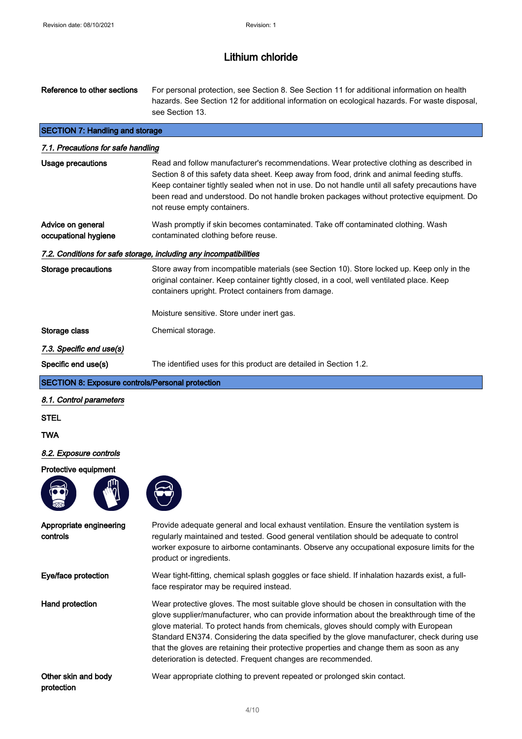protection

# Lithium chloride

| Reference to other sections                             | For personal protection, see Section 8. See Section 11 for additional information on health<br>hazards. See Section 12 for additional information on ecological hazards. For waste disposal,<br>see Section 13.                                                                                                                                                                                                                                                                                                                           |
|---------------------------------------------------------|-------------------------------------------------------------------------------------------------------------------------------------------------------------------------------------------------------------------------------------------------------------------------------------------------------------------------------------------------------------------------------------------------------------------------------------------------------------------------------------------------------------------------------------------|
| <b>SECTION 7: Handling and storage</b>                  |                                                                                                                                                                                                                                                                                                                                                                                                                                                                                                                                           |
| 7.1. Precautions for safe handling                      |                                                                                                                                                                                                                                                                                                                                                                                                                                                                                                                                           |
| Usage precautions                                       | Read and follow manufacturer's recommendations. Wear protective clothing as described in<br>Section 8 of this safety data sheet. Keep away from food, drink and animal feeding stuffs.<br>Keep container tightly sealed when not in use. Do not handle until all safety precautions have<br>been read and understood. Do not handle broken packages without protective equipment. Do<br>not reuse empty containers.                                                                                                                       |
| Advice on general<br>occupational hygiene               | Wash promptly if skin becomes contaminated. Take off contaminated clothing. Wash<br>contaminated clothing before reuse.                                                                                                                                                                                                                                                                                                                                                                                                                   |
|                                                         | 7.2. Conditions for safe storage, including any incompatibilities                                                                                                                                                                                                                                                                                                                                                                                                                                                                         |
| <b>Storage precautions</b>                              | Store away from incompatible materials (see Section 10). Store locked up. Keep only in the<br>original container. Keep container tightly closed, in a cool, well ventilated place. Keep<br>containers upright. Protect containers from damage.                                                                                                                                                                                                                                                                                            |
|                                                         | Moisture sensitive. Store under inert gas.                                                                                                                                                                                                                                                                                                                                                                                                                                                                                                |
| Storage class                                           | Chemical storage.                                                                                                                                                                                                                                                                                                                                                                                                                                                                                                                         |
| 7.3. Specific end use(s)                                |                                                                                                                                                                                                                                                                                                                                                                                                                                                                                                                                           |
| Specific end use(s)                                     | The identified uses for this product are detailed in Section 1.2.                                                                                                                                                                                                                                                                                                                                                                                                                                                                         |
| <b>SECTION 8: Exposure controls/Personal protection</b> |                                                                                                                                                                                                                                                                                                                                                                                                                                                                                                                                           |
| 8.1. Control parameters                                 |                                                                                                                                                                                                                                                                                                                                                                                                                                                                                                                                           |
| STEL                                                    |                                                                                                                                                                                                                                                                                                                                                                                                                                                                                                                                           |
| TWA                                                     |                                                                                                                                                                                                                                                                                                                                                                                                                                                                                                                                           |
| 8.2. Exposure controls                                  |                                                                                                                                                                                                                                                                                                                                                                                                                                                                                                                                           |
| Protective equipment                                    |                                                                                                                                                                                                                                                                                                                                                                                                                                                                                                                                           |
|                                                         |                                                                                                                                                                                                                                                                                                                                                                                                                                                                                                                                           |
| Appropriate engineering<br>controls                     | Provide adequate general and local exhaust ventilation. Ensure the ventilation system is<br>regularly maintained and tested. Good general ventilation should be adequate to control<br>worker exposure to airborne contaminants. Observe any occupational exposure limits for the<br>product or ingredients.                                                                                                                                                                                                                              |
| Eye/face protection                                     | Wear tight-fitting, chemical splash goggles or face shield. If inhalation hazards exist, a full-<br>face respirator may be required instead.                                                                                                                                                                                                                                                                                                                                                                                              |
| <b>Hand protection</b>                                  | Wear protective gloves. The most suitable glove should be chosen in consultation with the<br>glove supplier/manufacturer, who can provide information about the breakthrough time of the<br>glove material. To protect hands from chemicals, gloves should comply with European<br>Standard EN374. Considering the data specified by the glove manufacturer, check during use<br>that the gloves are retaining their protective properties and change them as soon as any<br>deterioration is detected. Frequent changes are recommended. |
| Other skin and body                                     |                                                                                                                                                                                                                                                                                                                                                                                                                                                                                                                                           |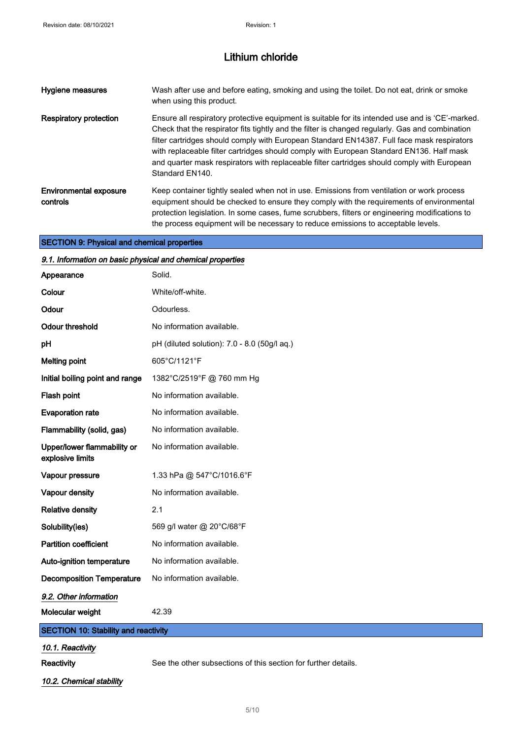| Hygiene measures                          | Wash after use and before eating, smoking and using the toilet. Do not eat, drink or smoke<br>when using this product.                                                                                                                                                                                                                                                                                                                                                                                          |
|-------------------------------------------|-----------------------------------------------------------------------------------------------------------------------------------------------------------------------------------------------------------------------------------------------------------------------------------------------------------------------------------------------------------------------------------------------------------------------------------------------------------------------------------------------------------------|
| <b>Respiratory protection</b>             | Ensure all respiratory protective equipment is suitable for its intended use and is 'CE'-marked.<br>Check that the respirator fits tightly and the filter is changed regularly. Gas and combination<br>filter cartridges should comply with European Standard EN14387. Full face mask respirators<br>with replaceable filter cartridges should comply with European Standard EN136. Half mask<br>and quarter mask respirators with replaceable filter cartridges should comply with European<br>Standard EN140. |
| <b>Environmental exposure</b><br>controls | Keep container tightly sealed when not in use. Emissions from ventilation or work process<br>equipment should be checked to ensure they comply with the requirements of environmental<br>protection legislation. In some cases, fume scrubbers, filters or engineering modifications to<br>the process equipment will be necessary to reduce emissions to acceptable levels.                                                                                                                                    |

## SECTION 9: Physical and chemical properties

| 9.1. Information on basic physical and chemical properties |                                                                |  |
|------------------------------------------------------------|----------------------------------------------------------------|--|
| Appearance                                                 | Solid.                                                         |  |
| Colour                                                     | White/off-white.                                               |  |
| Odour                                                      | Odourless.                                                     |  |
| <b>Odour threshold</b>                                     | No information available.                                      |  |
| рH                                                         | pH (diluted solution): 7.0 - 8.0 (50g/l aq.)                   |  |
| <b>Melting point</b>                                       | 605°C/1121°F                                                   |  |
| Initial boiling point and range                            | 1382°C/2519°F @ 760 mm Hg                                      |  |
| Flash point                                                | No information available.                                      |  |
| <b>Evaporation rate</b>                                    | No information available.                                      |  |
| Flammability (solid, gas)                                  | No information available.                                      |  |
| Upper/lower flammability or<br>explosive limits            | No information available.                                      |  |
| Vapour pressure                                            | 1.33 hPa @ 547°C/1016.6°F                                      |  |
| Vapour density                                             | No information available.                                      |  |
| <b>Relative density</b>                                    | 2.1                                                            |  |
| Solubility(ies)                                            | 569 g/l water @ 20°C/68°F                                      |  |
| <b>Partition coefficient</b>                               | No information available.                                      |  |
| Auto-ignition temperature                                  | No information available.                                      |  |
| <b>Decomposition Temperature</b>                           | No information available.                                      |  |
| 9.2. Other information                                     |                                                                |  |
| Molecular weight                                           | 42.39                                                          |  |
| <b>SECTION 10: Stability and reactivity</b>                |                                                                |  |
| 10.1. Reactivity                                           |                                                                |  |
| Reactivity                                                 | See the other subsections of this section for further details. |  |

10.2. Chemical stability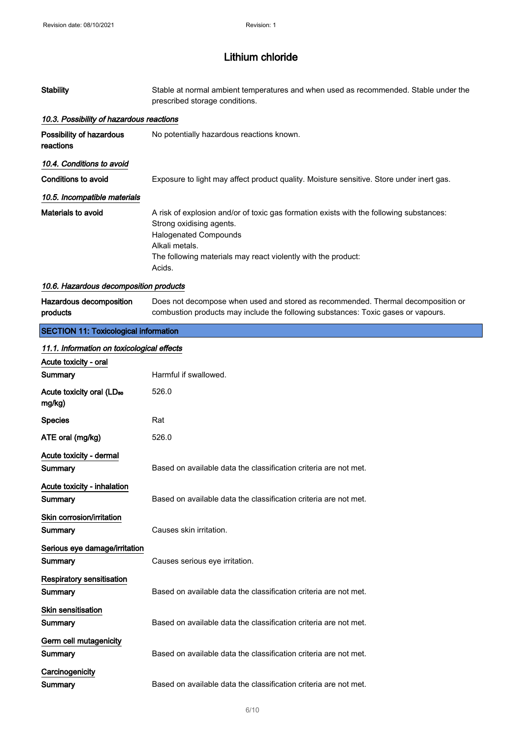| <b>Stability</b>                                | Stable at normal ambient temperatures and when used as recommended. Stable under the<br>prescribed storage conditions.                                                                                                                           |
|-------------------------------------------------|--------------------------------------------------------------------------------------------------------------------------------------------------------------------------------------------------------------------------------------------------|
| 10.3. Possibility of hazardous reactions        |                                                                                                                                                                                                                                                  |
| Possibility of hazardous<br>reactions           | No potentially hazardous reactions known.                                                                                                                                                                                                        |
| 10.4. Conditions to avoid                       |                                                                                                                                                                                                                                                  |
| Conditions to avoid                             | Exposure to light may affect product quality. Moisture sensitive. Store under inert gas.                                                                                                                                                         |
| 10.5. Incompatible materials                    |                                                                                                                                                                                                                                                  |
| Materials to avoid                              | A risk of explosion and/or of toxic gas formation exists with the following substances:<br>Strong oxidising agents.<br><b>Halogenated Compounds</b><br>Alkali metals.<br>The following materials may react violently with the product:<br>Acids. |
| 10.6. Hazardous decomposition products          |                                                                                                                                                                                                                                                  |
| Hazardous decomposition<br>products             | Does not decompose when used and stored as recommended. Thermal decomposition or<br>combustion products may include the following substances: Toxic gases or vapours.                                                                            |
| <b>SECTION 11: Toxicological information</b>    |                                                                                                                                                                                                                                                  |
| 11.1. Information on toxicological effects      |                                                                                                                                                                                                                                                  |
| Acute toxicity - oral                           |                                                                                                                                                                                                                                                  |
| Summary                                         | Harmful if swallowed.                                                                                                                                                                                                                            |
| Acute toxicity oral (LD <sub>50</sub><br>mg/kg) | 526.0                                                                                                                                                                                                                                            |
| <b>Species</b>                                  | Rat                                                                                                                                                                                                                                              |
| ATE oral (mg/kg)                                | 526.0                                                                                                                                                                                                                                            |
| Acute toxicity - dermal                         |                                                                                                                                                                                                                                                  |
| Summary                                         | Based on available data the classification criteria are not met.                                                                                                                                                                                 |
| Acute toxicity - inhalation<br>Summary          | Based on available data the classification criteria are not met.                                                                                                                                                                                 |
| Skin corrosion/irritation<br>Summary            | Causes skin irritation.                                                                                                                                                                                                                          |
| Serious eye damage/irritation<br>Summary        | Causes serious eye irritation.                                                                                                                                                                                                                   |
| <b>Respiratory sensitisation</b><br>Summary     | Based on available data the classification criteria are not met.                                                                                                                                                                                 |
| <b>Skin sensitisation</b><br>Summary            | Based on available data the classification criteria are not met.                                                                                                                                                                                 |
| Germ cell mutagenicity<br>Summary               | Based on available data the classification criteria are not met.                                                                                                                                                                                 |
| Carcinogenicity<br>Summary                      | Based on available data the classification criteria are not met.                                                                                                                                                                                 |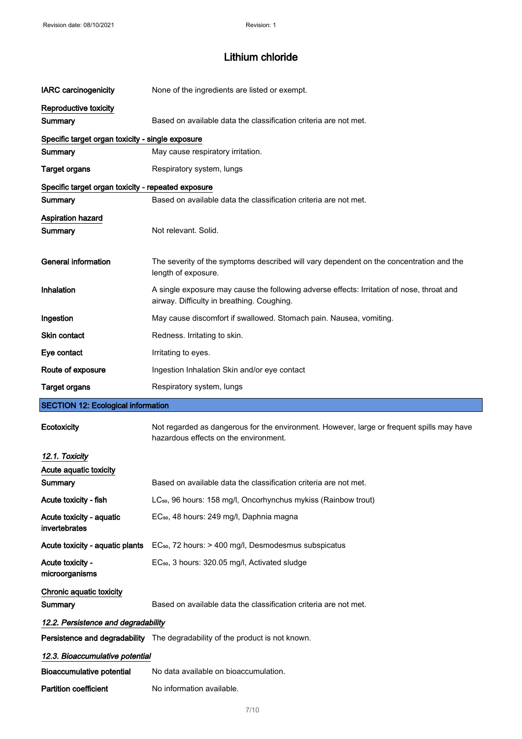| <b>IARC</b> carcinogenicity                        | None of the ingredients are listed or exempt.                                                                                           |
|----------------------------------------------------|-----------------------------------------------------------------------------------------------------------------------------------------|
| Reproductive toxicity                              |                                                                                                                                         |
| Summary                                            | Based on available data the classification criteria are not met.                                                                        |
| Specific target organ toxicity - single exposure   |                                                                                                                                         |
| Summary                                            | May cause respiratory irritation.                                                                                                       |
| <b>Target organs</b>                               | Respiratory system, lungs                                                                                                               |
| Specific target organ toxicity - repeated exposure |                                                                                                                                         |
| Summary                                            | Based on available data the classification criteria are not met.                                                                        |
| <b>Aspiration hazard</b><br>Summary                | Not relevant. Solid.                                                                                                                    |
| <b>General information</b>                         | The severity of the symptoms described will vary dependent on the concentration and the<br>length of exposure.                          |
| Inhalation                                         | A single exposure may cause the following adverse effects: Irritation of nose, throat and<br>airway. Difficulty in breathing. Coughing. |
| Ingestion                                          | May cause discomfort if swallowed. Stomach pain. Nausea, vomiting.                                                                      |
| Skin contact                                       | Redness. Irritating to skin.                                                                                                            |
| Eye contact                                        | Irritating to eyes.                                                                                                                     |
| Route of exposure                                  | Ingestion Inhalation Skin and/or eye contact                                                                                            |
|                                                    |                                                                                                                                         |
| <b>Target organs</b>                               | Respiratory system, lungs                                                                                                               |
| <b>SECTION 12: Ecological information</b>          |                                                                                                                                         |
| Ecotoxicity                                        | Not regarded as dangerous for the environment. However, large or frequent spills may have<br>hazardous effects on the environment.      |
| 12.1. Toxicity                                     |                                                                                                                                         |
| Acute aquatic toxicity                             |                                                                                                                                         |
| <b>Summary</b>                                     | Based on available data the classification criteria are not met.                                                                        |
| Acute toxicity - fish                              | LC <sub>50</sub> , 96 hours: 158 mg/l, Oncorhynchus mykiss (Rainbow trout)                                                              |
| Acute toxicity - aquatic<br>invertebrates          | EC <sub>50</sub> , 48 hours: 249 mg/l, Daphnia magna                                                                                    |
| Acute toxicity - aquatic plants                    | EC <sub>50</sub> , 72 hours: > 400 mg/l, Desmodesmus subspicatus                                                                        |
| Acute toxicity -<br>microorganisms                 | EC <sub>50</sub> , 3 hours: 320.05 mg/l, Activated sludge                                                                               |
| Chronic aquatic toxicity<br>Summary                | Based on available data the classification criteria are not met.                                                                        |
| 12.2. Persistence and degradability                |                                                                                                                                         |
|                                                    | Persistence and degradability The degradability of the product is not known.                                                            |
| 12.3. Bioaccumulative potential                    |                                                                                                                                         |
| <b>Bioaccumulative potential</b>                   | No data available on bioaccumulation.                                                                                                   |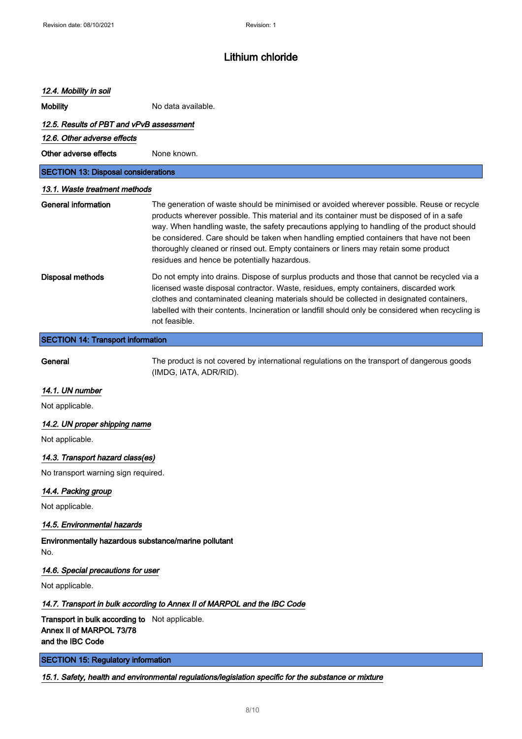#### 12.4. Mobility in soil

Mobility Mobility No data available.

#### 12.5. Results of PBT and vPvB assessment

12.6. Other adverse effects

Other adverse effects None known.

SECTION 13: Disposal considerations

#### 13.1. Waste treatment methods

| General information | The generation of waste should be minimised or avoided wherever possible. Reuse or recycle<br>products wherever possible. This material and its container must be disposed of in a safe<br>way. When handling waste, the safety precautions applying to handling of the product should<br>be considered. Care should be taken when handling emptied containers that have not been<br>thoroughly cleaned or rinsed out. Empty containers or liners may retain some product<br>residues and hence be potentially hazardous. |
|---------------------|---------------------------------------------------------------------------------------------------------------------------------------------------------------------------------------------------------------------------------------------------------------------------------------------------------------------------------------------------------------------------------------------------------------------------------------------------------------------------------------------------------------------------|
| Disposal methods    | Do not empty into drains. Dispose of surplus products and those that cannot be recycled via a<br>licensed waste disposal contractor. Waste, residues, empty containers, discarded work<br>clothes and contaminated cleaning materials should be collected in designated containers,<br>labelled with their contents. Incineration or landfill should only be considered when recycling is<br>not feasible.                                                                                                                |

### SECTION 14: Transport information

General The product is not covered by international regulations on the transport of dangerous goods (IMDG, IATA, ADR/RID).

## 14.1. UN number

Not applicable.

### 14.2. UN proper shipping name

Not applicable.

#### 14.3. Transport hazard class(es)

No transport warning sign required.

## 14.4. Packing group

Not applicable.

## 14.5. Environmental hazards

Environmentally hazardous substance/marine pollutant No.

#### 14.6. Special precautions for user

Not applicable.

#### 14.7. Transport in bulk according to Annex II of MARPOL and the IBC Code

Transport in bulk according to Not applicable. Annex II of MARPOL 73/78 and the IBC Code

SECTION 15: Regulatory information

15.1. Safety, health and environmental regulations/legislation specific for the substance or mixture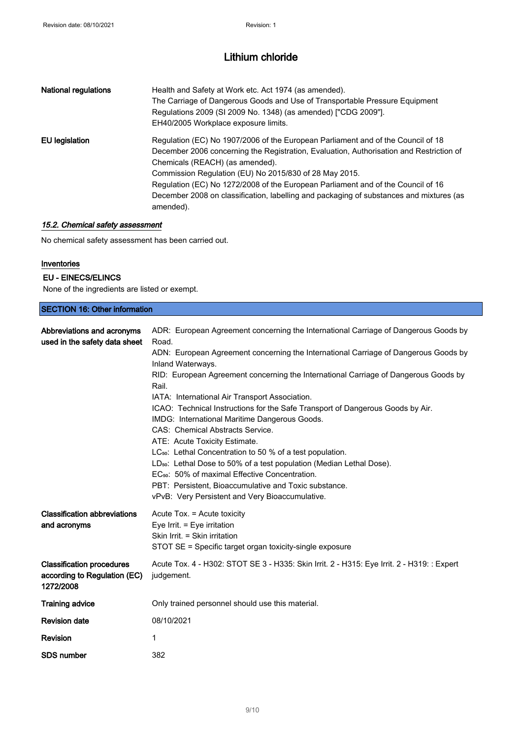| <b>National regulations</b> | Health and Safety at Work etc. Act 1974 (as amended).<br>The Carriage of Dangerous Goods and Use of Transportable Pressure Equipment<br>Regulations 2009 (SI 2009 No. 1348) (as amended) ["CDG 2009"].<br>EH40/2005 Workplace exposure limits.                                                                                                                                                                                                                       |
|-----------------------------|----------------------------------------------------------------------------------------------------------------------------------------------------------------------------------------------------------------------------------------------------------------------------------------------------------------------------------------------------------------------------------------------------------------------------------------------------------------------|
| EU legislation              | Regulation (EC) No 1907/2006 of the European Parliament and of the Council of 18<br>December 2006 concerning the Registration, Evaluation, Authorisation and Restriction of<br>Chemicals (REACH) (as amended).<br>Commission Regulation (EU) No 2015/830 of 28 May 2015.<br>Regulation (EC) No 1272/2008 of the European Parliament and of the Council of 16<br>December 2008 on classification, labelling and packaging of substances and mixtures (as<br>amended). |

## 15.2. Chemical safety assessment

No chemical safety assessment has been carried out.

#### Inventories

### EU - EINECS/ELINCS

None of the ingredients are listed or exempt.

| <b>SECTION 16: Other information</b>                                          |                                                                                                                                                                                                                                                                                                                                                                                                                                                                                                                                                                                                                                                                                                                                                                                                                                                                                                           |  |
|-------------------------------------------------------------------------------|-----------------------------------------------------------------------------------------------------------------------------------------------------------------------------------------------------------------------------------------------------------------------------------------------------------------------------------------------------------------------------------------------------------------------------------------------------------------------------------------------------------------------------------------------------------------------------------------------------------------------------------------------------------------------------------------------------------------------------------------------------------------------------------------------------------------------------------------------------------------------------------------------------------|--|
| Abbreviations and acronyms<br>used in the safety data sheet                   | ADR: European Agreement concerning the International Carriage of Dangerous Goods by<br>Road.<br>ADN: European Agreement concerning the International Carriage of Dangerous Goods by<br>Inland Waterways.<br>RID: European Agreement concerning the International Carriage of Dangerous Goods by<br>Rail.<br>IATA: International Air Transport Association.<br>ICAO: Technical Instructions for the Safe Transport of Dangerous Goods by Air.<br>IMDG: International Maritime Dangerous Goods.<br>CAS: Chemical Abstracts Service.<br>ATE: Acute Toxicity Estimate.<br>LC <sub>50</sub> : Lethal Concentration to 50 % of a test population.<br>LD <sub>50</sub> : Lethal Dose to 50% of a test population (Median Lethal Dose).<br>EC <sub>50</sub> : 50% of maximal Effective Concentration.<br>PBT: Persistent, Bioaccumulative and Toxic substance.<br>vPvB: Very Persistent and Very Bioaccumulative. |  |
| <b>Classification abbreviations</b><br>and acronyms                           | Acute Tox. = Acute toxicity<br>Eye Irrit. = Eye irritation<br>Skin Irrit. = Skin irritation<br>STOT SE = Specific target organ toxicity-single exposure                                                                                                                                                                                                                                                                                                                                                                                                                                                                                                                                                                                                                                                                                                                                                   |  |
| <b>Classification procedures</b><br>according to Regulation (EC)<br>1272/2008 | Acute Tox. 4 - H302: STOT SE 3 - H335: Skin Irrit. 2 - H315: Eye Irrit. 2 - H319: : Expert<br>judgement.                                                                                                                                                                                                                                                                                                                                                                                                                                                                                                                                                                                                                                                                                                                                                                                                  |  |
| <b>Training advice</b>                                                        | Only trained personnel should use this material.                                                                                                                                                                                                                                                                                                                                                                                                                                                                                                                                                                                                                                                                                                                                                                                                                                                          |  |
| <b>Revision date</b>                                                          | 08/10/2021                                                                                                                                                                                                                                                                                                                                                                                                                                                                                                                                                                                                                                                                                                                                                                                                                                                                                                |  |
| Revision                                                                      | 1                                                                                                                                                                                                                                                                                                                                                                                                                                                                                                                                                                                                                                                                                                                                                                                                                                                                                                         |  |
| <b>SDS number</b>                                                             | 382                                                                                                                                                                                                                                                                                                                                                                                                                                                                                                                                                                                                                                                                                                                                                                                                                                                                                                       |  |